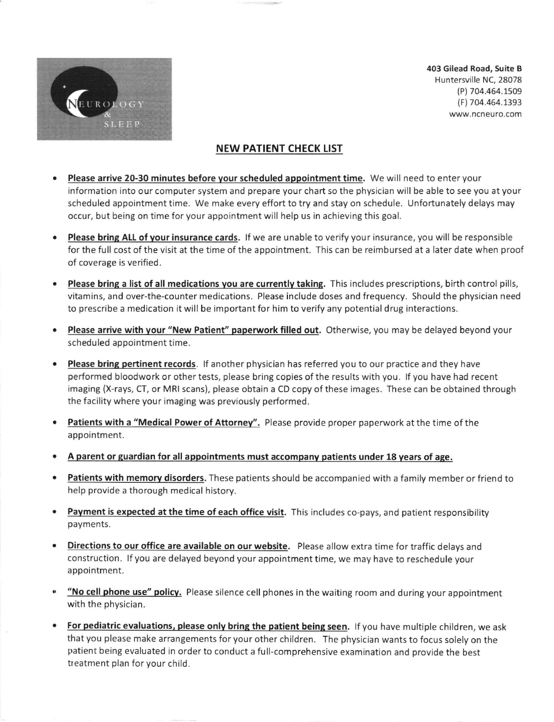

403 Gilead Road, Suite B Huntersville NC,28078 (P) 704.454.1s09 (F) 704.464.1393 www.ncneuro.com

## NEW PATIENT CHECK LIST

- Please arrive 20-30 minutes before vour scheduled appointment time. We will need to enter your information into our computer system and prepare your chart so the physician will be able to see you at your scheduled appointment time. We make every effort to try and stay on schedule. Unfortunately delays may occur, but being on time for your appointment will help us in achieving this goal.
- Please bring ALL of your insurance cards. If we are unable to verify your insurance, you will be responsible for the full cost of the visit at the time of the appointment. This can be reimbursed at a later date when proof of coverage is verified.
- Please bring a list of all medications you are currently taking. This includes prescriptions, birth control pills, vitamins, and over-the-counter medications. Please include doses and frequency. Should the physician need to prescribe a medication it will be important for him to verify any potential drug interactions.
- Please arrive with your "New Patient" paperwork filled out. Otherwise, you may be delayed beyond your scheduled appointment time.
- Please bring pertinent records. If another physician has referred you to our practice and they have performed bloodwork or other tests, please bring copies ofthe results with you. lf you have had recent imaging (X-rays, CT, or MRI scans), please obtain a CD copy of these images. These can be obtained through the facility where your imaging was previously performed.
- **Patients with a "Medical Power of Attorney".** Please provide proper paperwork at the time of the appointment.
- A parent or guardian for all appointments must accompany patients under 18 years of age.
- **Patients with memory disorders.** These patients should be accompanied with a family member or friend to help provide a thorough medical history
- Payment is expected at the time of each office visit. This includes co-pays, and patient responsibility payments
- **.** Directions to our office are available on our website. Please allow extra time for traffic delays and construction. lf you are delayed beyond your appointment time, we may have to reschedule your appointment.
- . "No cell phone use" policy. Please silence cell phones in the waiting room and during your appointment with the physician.
- . For pediatric evaluations, please only bring the patient being seen. If you have multiple children, we ask that you please make arrangements for your other children. The physician wants to focus solely on the patient being evaluated in order to conduct a full-comprehensive examination and provide the best treatment plan for your child.